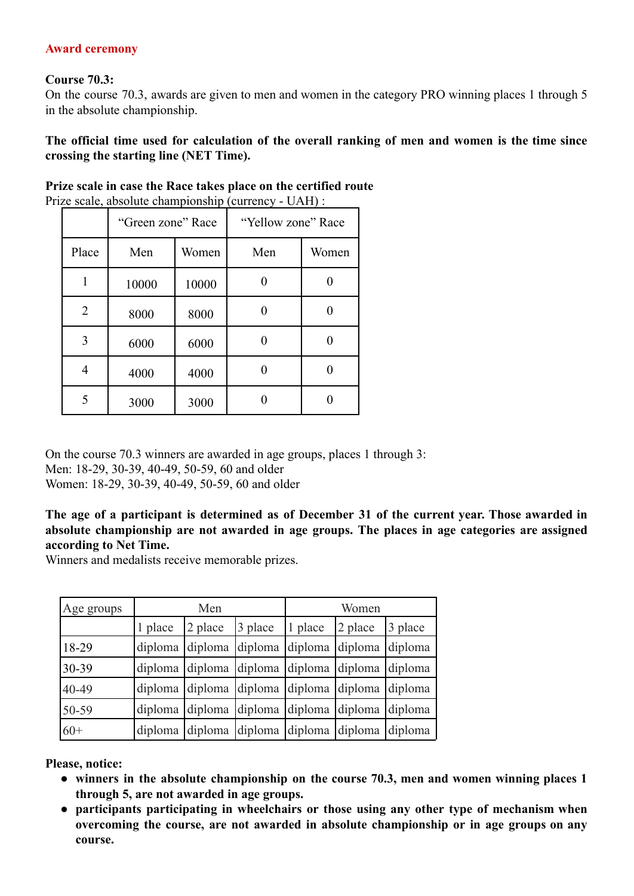## **Award ceremony**

## **Course 70.3:**

On the course 70.3, awards are given to men and women in the category PRO winning places 1 through 5 in the absolute championship.

**The official time used for calculation of the overall ranking of men and women is the time since crossing the starting line (NET Time).**

|                | $\epsilon$ scale, absolute championsing (currency - $\epsilon$ ).<br>"Green zone" Race |       | "Yellow zone" Race |       |  |
|----------------|----------------------------------------------------------------------------------------|-------|--------------------|-------|--|
| Place          | Men                                                                                    | Women | Men                | Women |  |
| 1              | 10000                                                                                  | 10000 |                    |       |  |
| $\overline{2}$ | 8000                                                                                   | 8000  |                    |       |  |
| 3              | 6000                                                                                   | 6000  | 0                  |       |  |
| 4              | 4000                                                                                   | 4000  |                    |       |  |
| 5              | 3000                                                                                   | 3000  |                    |       |  |

**Prize scale in case the Race takes place on the certified route**

Prize scale, absolute championship (currency -  $\text{HAP}$ ) :

On the course 70.3 winners are awarded in age groups, places 1 through 3: Men: 18-29, 30-39, 40-49, 50-59, 60 and older Women: 18-29, 30-39, 40-49, 50-59, 60 and older

**The age of a participant is determined as of December 31 of the current year. Those awarded in absolute championship are not awarded in age groups. The places in age categories are assigned according to Net Time.**

Winners and medalists receive memorable prizes.

| Age groups | Men     |                                                 |                 | Women                           |                 |         |
|------------|---------|-------------------------------------------------|-----------------|---------------------------------|-----------------|---------|
|            | 1 place | 2 place                                         | 3 place         | 1 place                         | 2 place         | 3 place |
| 18-29      | diploma | diploma                                         | diploma diploma |                                 | diploma diploma |         |
| 30-39      | diploma | diploma                                         |                 | diploma diploma diploma diploma |                 |         |
| 40-49      |         | diploma diploma diploma diploma diploma diploma |                 |                                 |                 |         |
| 50-59      | diploma | diploma                                         |                 | diploma diploma diploma diploma |                 |         |
| $60+$      |         | diploma diploma diploma diploma diploma diploma |                 |                                 |                 |         |

**Please, notice:**

- **● winners in the absolute championship on the course 70.3, men and women winning places 1 through 5, are not awarded in age groups.**
- **● participants participating in wheelchairs or those using any other type of mechanism when overcoming the course, are not awarded in absolute championship or in age groups on any course.**